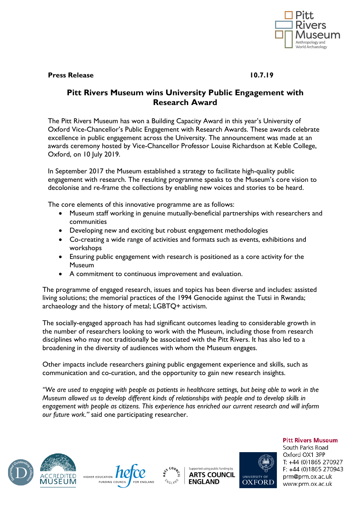

## **Press Release** 10.7.19

# **Pitt Rivers Museum wins University Public Engagement with Research Award**

The Pitt Rivers Museum has won a Building Capacity Award in this year's University of Oxford Vice-Chancellor's Public Engagement with Research Awards. These awards celebrate excellence in public engagement across the University. The announcement was made at an awards ceremony hosted by Vice-Chancellor Professor Louise Richardson at Keble College, Oxford, on 10 July 2019.

In September 2017 the Museum established a strategy to facilitate high-quality public engagement with research. The resulting programme speaks to the Museum's core vision to decolonise and re-frame the collections by enabling new voices and stories to be heard.

The core elements of this innovative programme are as follows:

- Museum staff working in genuine mutually-beneficial partnerships with researchers and communities
- Developing new and exciting but robust engagement methodologies
- Co-creating a wide range of activities and formats such as events, exhibitions and workshops
- Ensuring public engagement with research is positioned as a core activity for the Museum
- A commitment to continuous improvement and evaluation.

The programme of engaged research, issues and topics has been diverse and includes: assisted living solutions; the memorial practices of the 1994 Genocide against the Tutsi in Rwanda; archaeology and the history of metal; LGBTQ+ activism.

The socially-engaged approach has had significant outcomes leading to considerable growth in the number of researchers looking to work with the Museum, including those from research disciplines who may not traditionally be associated with the Pitt Rivers. It has also led to a broadening in the diversity of audiences with whom the Museum engages.

Other impacts include researchers gaining public engagement experience and skills, such as communication and co-curation, and the opportunity to gain new research insights.

*"We are used to engaging with people as patients in healthcare settings, but being able to work in the Museum allowed us to develop different kinds of relationships with people and to develop skills in engagement with people as citizens. This experience has enriched our current research and will inform our future work."* said one participating researcher.







Supported using public funding by **ARTS COUNCIL ENGLAND** 



**Pitt Rivers Museum** South Parks Road Oxford OX1 3PP T: +44 (0)1865 270927 F: +44 (0)1865 270943 prm@prm.ox.ac.uk www.prm.ox.ac.uk